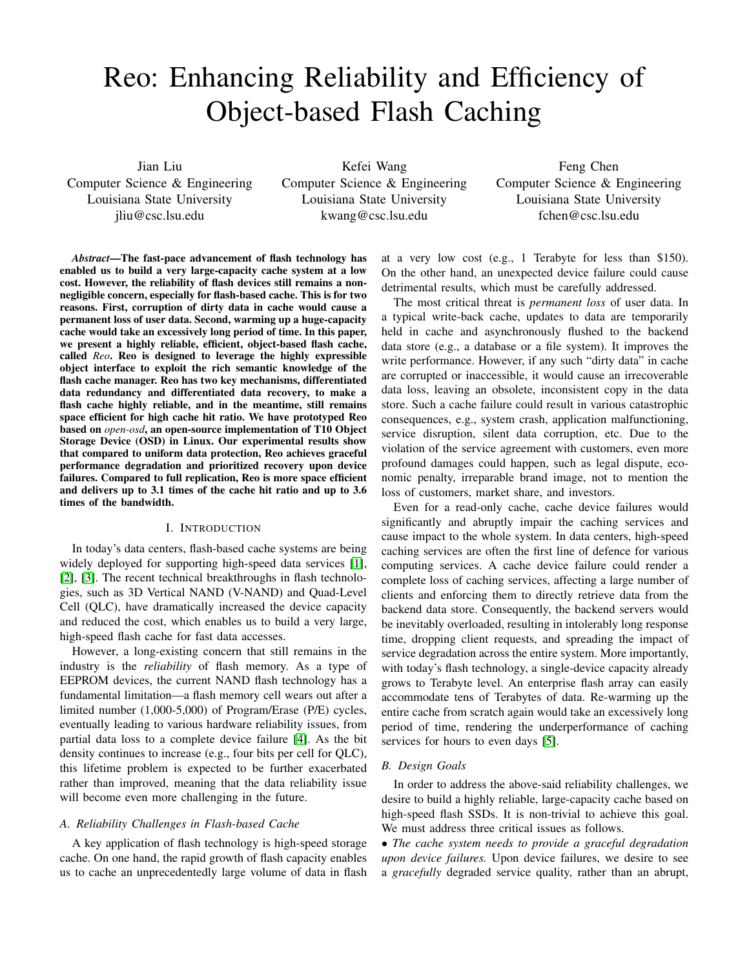# Reo: Enhancing Reliability and Efficiency of Object-based Flash Caching

Jian Liu Kefei Wang Feng Chen Computer Science & Engineering Computer Science & Engineering Computer Science & Engineering Louisiana State University Louisiana State University Louisiana State University jliu@csc.lsu.edu kwang@csc.lsu.edu fchen@csc.lsu.edu

*Abstract*—The fast-pace advancement of flash technology has enabled us to build a very large-capacity cache system at a low cost. However, the reliability of flash devices still remains a nonnegligible concern, especially for flash-based cache. This is for two reasons. First, corruption of dirty data in cache would cause a permanent loss of user data. Second, warming up a huge-capacity cache would take an excessively long period of time. In this paper, we present a highly reliable, efficient, object-based flash cache, called *Reo*. Reo is designed to leverage the highly expressible object interface to exploit the rich semantic knowledge of the flash cache manager. Reo has two key mechanisms, differentiated data redundancy and differentiated data recovery, to make a flash cache highly reliable, and in the meantime, still remains space efficient for high cache hit ratio. We have prototyped Reo based on *open-osd*, an open-source implementation of T10 Object Storage Device (OSD) in Linux. Our experimental results show that compared to uniform data protection, Reo achieves graceful performance degradation and prioritized recovery upon device failures. Compared to full replication, Reo is more space efficient and delivers up to 3.1 times of the cache hit ratio and up to 3.6 times of the bandwidth.

## I. INTRODUCTION

In today's data centers, flash-based cache systems are being widely deployed for supporting high-speed data services [\[1\]](#page-9-0), [\[2\]](#page-9-1), [\[3\]](#page-9-2). The recent technical breakthroughs in flash technologies, such as 3D Vertical NAND (V-NAND) and Quad-Level Cell (QLC), have dramatically increased the device capacity and reduced the cost, which enables us to build a very large, high-speed flash cache for fast data accesses.

However, a long-existing concern that still remains in the industry is the *reliability* of flash memory. As a type of EEPROM devices, the current NAND flash technology has a fundamental limitation—a flash memory cell wears out after a limited number (1,000-5,000) of Program/Erase (P/E) cycles, eventually leading to various hardware reliability issues, from partial data loss to a complete device failure [\[4\]](#page-10-0). As the bit density continues to increase (e.g., four bits per cell for QLC), this lifetime problem is expected to be further exacerbated rather than improved, meaning that the data reliability issue will become even more challenging in the future.

## *A. Reliability Challenges in Flash-based Cache*

A key application of flash technology is high-speed storage cache. On one hand, the rapid growth of flash capacity enables us to cache an unprecedentedly large volume of data in flash at a very low cost (e.g., 1 Terabyte for less than \$150). On the other hand, an unexpected device failure could cause detrimental results, which must be carefully addressed.

The most critical threat is *permanent loss* of user data. In a typical write-back cache, updates to data are temporarily held in cache and asynchronously flushed to the backend data store (e.g., a database or a file system). It improves the write performance. However, if any such "dirty data" in cache are corrupted or inaccessible, it would cause an irrecoverable data loss, leaving an obsolete, inconsistent copy in the data store. Such a cache failure could result in various catastrophic consequences, e.g., system crash, application malfunctioning, service disruption, silent data corruption, etc. Due to the violation of the service agreement with customers, even more profound damages could happen, such as legal dispute, economic penalty, irreparable brand image, not to mention the loss of customers, market share, and investors.

Even for a read-only cache, cache device failures would significantly and abruptly impair the caching services and cause impact to the whole system. In data centers, high-speed caching services are often the first line of defence for various computing services. A cache device failure could render a complete loss of caching services, affecting a large number of clients and enforcing them to directly retrieve data from the backend data store. Consequently, the backend servers would be inevitably overloaded, resulting in intolerably long response time, dropping client requests, and spreading the impact of service degradation across the entire system. More importantly, with today's flash technology, a single-device capacity already grows to Terabyte level. An enterprise flash array can easily accommodate tens of Terabytes of data. Re-warming up the entire cache from scratch again would take an excessively long period of time, rendering the underperformance of caching services for hours to even days [\[5\]](#page-10-1).

## *B. Design Goals*

In order to address the above-said reliability challenges, we desire to build a highly reliable, large-capacity cache based on high-speed flash SSDs. It is non-trivial to achieve this goal. We must address three critical issues as follows.

• *The cache system needs to provide a graceful degradation upon device failures.* Upon device failures, we desire to see a *gracefully* degraded service quality, rather than an abrupt,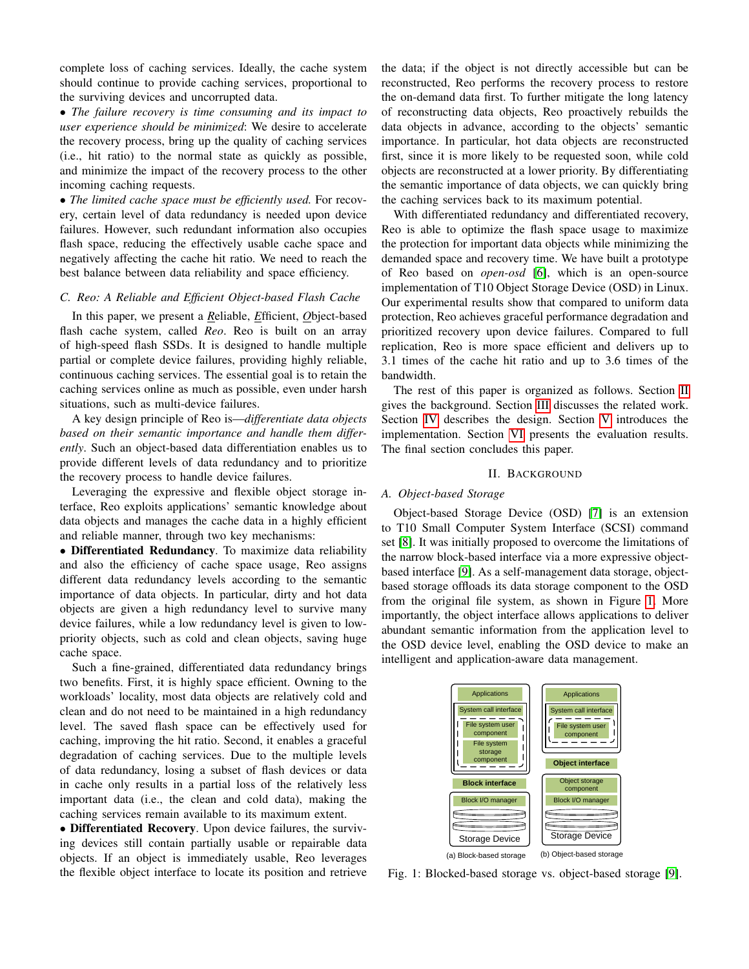complete loss of caching services. Ideally, the cache system should continue to provide caching services, proportional to the surviving devices and uncorrupted data.

• *The failure recovery is time consuming and its impact to user experience should be minimized*: We desire to accelerate the recovery process, bring up the quality of caching services (i.e., hit ratio) to the normal state as quickly as possible, and minimize the impact of the recovery process to the other incoming caching requests.

• *The limited cache space must be efficiently used.* For recovery, certain level of data redundancy is needed upon device failures. However, such redundant information also occupies flash space, reducing the effectively usable cache space and negatively affecting the cache hit ratio. We need to reach the best balance between data reliability and space efficiency.

## *C. Reo: A Reliable and Efficient Object-based Flash Cache*

In this paper, we present a *R*eliable, *E*fficient, *O*bject-based flash cache system, called *Reo*. Reo is built on an array of high-speed flash SSDs. It is designed to handle multiple partial or complete device failures, providing highly reliable, continuous caching services. The essential goal is to retain the caching services online as much as possible, even under harsh situations, such as multi-device failures.

A key design principle of Reo is—*differentiate data objects based on their semantic importance and handle them differently*. Such an object-based data differentiation enables us to provide different levels of data redundancy and to prioritize the recovery process to handle device failures.

Leveraging the expressive and flexible object storage interface, Reo exploits applications' semantic knowledge about data objects and manages the cache data in a highly efficient and reliable manner, through two key mechanisms:

• Differentiated Redundancy. To maximize data reliability and also the efficiency of cache space usage, Reo assigns different data redundancy levels according to the semantic importance of data objects. In particular, dirty and hot data objects are given a high redundancy level to survive many device failures, while a low redundancy level is given to lowpriority objects, such as cold and clean objects, saving huge cache space.

Such a fine-grained, differentiated data redundancy brings two benefits. First, it is highly space efficient. Owning to the workloads' locality, most data objects are relatively cold and clean and do not need to be maintained in a high redundancy level. The saved flash space can be effectively used for caching, improving the hit ratio. Second, it enables a graceful degradation of caching services. Due to the multiple levels of data redundancy, losing a subset of flash devices or data in cache only results in a partial loss of the relatively less important data (i.e., the clean and cold data), making the caching services remain available to its maximum extent.

• Differentiated Recovery. Upon device failures, the surviving devices still contain partially usable or repairable data objects. If an object is immediately usable, Reo leverages the flexible object interface to locate its position and retrieve

the data; if the object is not directly accessible but can be reconstructed, Reo performs the recovery process to restore the on-demand data first. To further mitigate the long latency of reconstructing data objects, Reo proactively rebuilds the data objects in advance, according to the objects' semantic importance. In particular, hot data objects are reconstructed first, since it is more likely to be requested soon, while cold objects are reconstructed at a lower priority. By differentiating the semantic importance of data objects, we can quickly bring the caching services back to its maximum potential.

With differentiated redundancy and differentiated recovery, Reo is able to optimize the flash space usage to maximize the protection for important data objects while minimizing the demanded space and recovery time. We have built a prototype of Reo based on *open-osd* [\[6\]](#page-10-2), which is an open-source implementation of T10 Object Storage Device (OSD) in Linux. Our experimental results show that compared to uniform data protection, Reo achieves graceful performance degradation and prioritized recovery upon device failures. Compared to full replication, Reo is more space efficient and delivers up to 3.1 times of the cache hit ratio and up to 3.6 times of the bandwidth.

The rest of this paper is organized as follows. Section [II](#page-1-0) gives the background. Section [III](#page-3-0) discusses the related work. Section [IV](#page-3-1) describes the design. Section [V](#page-6-0) introduces the implementation. Section [VI](#page-6-1) presents the evaluation results. The final section concludes this paper.

#### II. BACKGROUND

## <span id="page-1-0"></span>*A. Object-based Storage*

Object-based Storage Device (OSD) [\[7\]](#page-10-3) is an extension to T10 Small Computer System Interface (SCSI) command set [\[8\]](#page-10-4). It was initially proposed to overcome the limitations of the narrow block-based interface via a more expressive objectbased interface [\[9\]](#page-10-5). As a self-management data storage, objectbased storage offloads its data storage component to the OSD from the original file system, as shown in Figure [1.](#page-1-1) More importantly, the object interface allows applications to deliver abundant semantic information from the application level to the OSD device level, enabling the OSD device to make an intelligent and application-aware data management.

<span id="page-1-1"></span>

Fig. 1: Blocked-based storage vs. object-based storage [\[9\]](#page-10-5).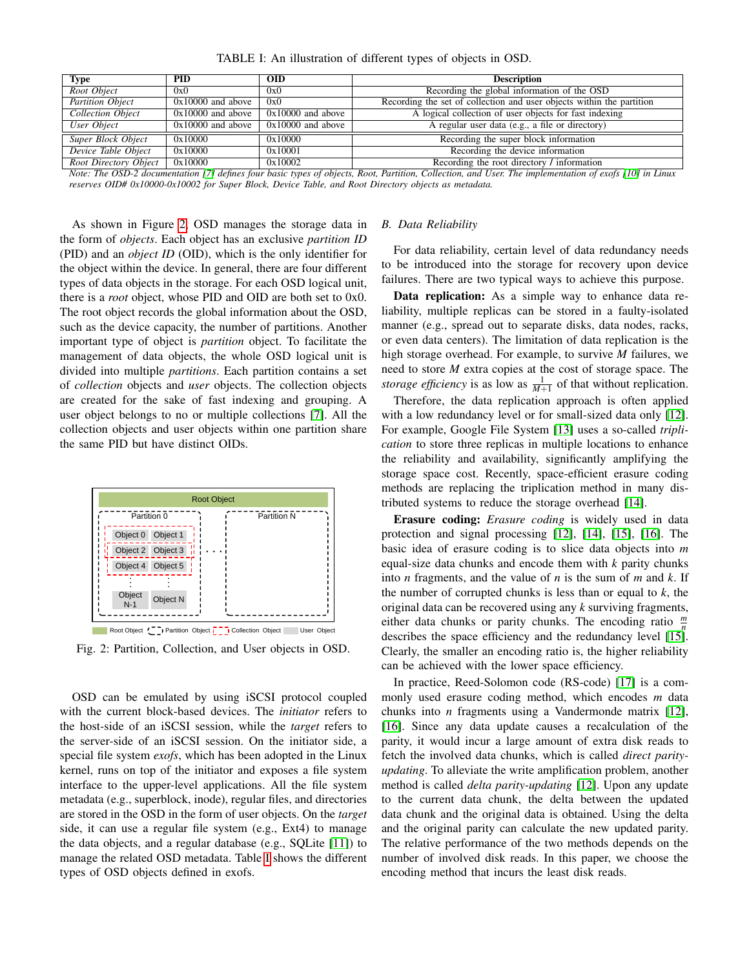| TABLE I: An illustration of different types of objects in OSD. |
|----------------------------------------------------------------|
|----------------------------------------------------------------|

<span id="page-2-1"></span>

| <b>Type</b>                                              | <b>PID</b>          | <b>OID</b>           | <b>Description</b>                                                       |  |  |
|----------------------------------------------------------|---------------------|----------------------|--------------------------------------------------------------------------|--|--|
| Root Object                                              | 0x0                 | 0x0                  | Recording the global information of the OSD                              |  |  |
| <b>Partition Object</b>                                  | $0x10000$ and above | 0x0                  | Recording the set of collection and user objects within the partition    |  |  |
| Collection Object                                        | $0x10000$ and above | $0x10000$ and above  | A logical collection of user objects for fast indexing                   |  |  |
| User Object                                              | $0x10000$ and above | $0x10000$ and above  | A regular user data (e.g., a file or directory)                          |  |  |
| <b>Super Block Object</b>                                | 0x10000             | 0x10000              | Recording the super block information                                    |  |  |
| Device Table Object                                      | 0x10000             | 0x10001              | Recording the device information                                         |  |  |
| Root Directory Object                                    | 0x10000             | 0x10002              | Recording the root directory / information                               |  |  |
| $\mathbf{v}$ $\mathbf{m}$ $\alpha$ $\mathbf{n}$ $\alpha$ | $\cdots$ $\cdots$   | $\sim$ $\sim$ $\sim$ | $\mathcal{L}$ . The state of $\mathcal{L}$ is the state of $\mathcal{L}$ |  |  |

*Note: The OSD-2 documentation [\[7\]](#page-10-3) defines four basic types of objects, Root, Partition, Collection, and User. The implementation of exofs [\[10\]](#page-10-6) in Linux reserves OID# 0x10000-0x10002 for Super Block, Device Table, and Root Directory objects as metadata.*

As shown in Figure [2,](#page-2-0) OSD manages the storage data in the form of *objects*. Each object has an exclusive *partition ID* (PID) and an *object ID* (OID), which is the only identifier for the object within the device. In general, there are four different types of data objects in the storage. For each OSD logical unit, there is a *root* object, whose PID and OID are both set to 0x0. The root object records the global information about the OSD, such as the device capacity, the number of partitions. Another important type of object is *partition* object. To facilitate the management of data objects, the whole OSD logical unit is divided into multiple *partitions*. Each partition contains a set of *collection* objects and *user* objects. The collection objects are created for the sake of fast indexing and grouping. A user object belongs to no or multiple collections [\[7\]](#page-10-3). All the collection objects and user objects within one partition share the same PID but have distinct OIDs.

<span id="page-2-0"></span>

| <b>Root Object</b>                                 |             |  |  |  |  |  |
|----------------------------------------------------|-------------|--|--|--|--|--|
| Partition 0<br><b>Partition N</b>                  |             |  |  |  |  |  |
| Object 0 Object 1                                  |             |  |  |  |  |  |
| Object 2 Object 3                                  |             |  |  |  |  |  |
| Object 4 Object 5                                  |             |  |  |  |  |  |
|                                                    |             |  |  |  |  |  |
| Object<br>Object N<br>$N-1$                        |             |  |  |  |  |  |
|                                                    |             |  |  |  |  |  |
| Root Object ( Partition Object   Collection Object | User Object |  |  |  |  |  |

Fig. 2: Partition, Collection, and User objects in OSD.

OSD can be emulated by using iSCSI protocol coupled with the current block-based devices. The *initiator* refers to the host-side of an iSCSI session, while the *target* refers to the server-side of an iSCSI session. On the initiator side, a special file system *exofs*, which has been adopted in the Linux kernel, runs on top of the initiator and exposes a file system interface to the upper-level applications. All the file system metadata (e.g., superblock, inode), regular files, and directories are stored in the OSD in the form of user objects. On the *target* side, it can use a regular file system (e.g., Ext4) to manage the data objects, and a regular database (e.g., SQLite [\[11\]](#page-10-7)) to manage the related OSD metadata. Table [I](#page-2-1) shows the different types of OSD objects defined in exofs.

### *B. Data Reliability*

For data reliability, certain level of data redundancy needs to be introduced into the storage for recovery upon device failures. There are two typical ways to achieve this purpose.

Data replication: As a simple way to enhance data reliability, multiple replicas can be stored in a faulty-isolated manner (e.g., spread out to separate disks, data nodes, racks, or even data centers). The limitation of data replication is the high storage overhead. For example, to survive *M* failures, we need to store *M* extra copies at the cost of storage space. The *storage efficiency* is as low as  $\frac{1}{M+1}$  of that without replication.

Therefore, the data replication approach is often applied with a low redundancy level or for small-sized data only [\[12\]](#page-10-8). For example, Google File System [\[13\]](#page-10-9) uses a so-called *triplication* to store three replicas in multiple locations to enhance the reliability and availability, significantly amplifying the storage space cost. Recently, space-efficient erasure coding methods are replacing the triplication method in many distributed systems to reduce the storage overhead [\[14\]](#page-10-10).

Erasure coding: *Erasure coding* is widely used in data protection and signal processing [\[12\]](#page-10-8), [\[14\]](#page-10-10), [\[15\]](#page-10-11), [\[16\]](#page-10-12). The basic idea of erasure coding is to slice data objects into *m* equal-size data chunks and encode them with *k* parity chunks into *n* fragments, and the value of *n* is the sum of *m* and *k*. If the number of corrupted chunks is less than or equal to  $k$ , the original data can be recovered using any *k* surviving fragments, either data chunks or parity chunks. The encoding ratio  $\frac{m}{n}$ describes the space efficiency and the redundancy level [\[15\]](#page-10-11). Clearly, the smaller an encoding ratio is, the higher reliability can be achieved with the lower space efficiency.

In practice, Reed-Solomon code (RS-code) [\[17\]](#page-10-13) is a commonly used erasure coding method, which encodes *m* data chunks into *n* fragments using a Vandermonde matrix [\[12\]](#page-10-8), [\[16\]](#page-10-12). Since any data update causes a recalculation of the parity, it would incur a large amount of extra disk reads to fetch the involved data chunks, which is called *direct parityupdating*. To alleviate the write amplification problem, another method is called *delta parity-updating* [\[12\]](#page-10-8). Upon any update to the current data chunk, the delta between the updated data chunk and the original data is obtained. Using the delta and the original parity can calculate the new updated parity. The relative performance of the two methods depends on the number of involved disk reads. In this paper, we choose the encoding method that incurs the least disk reads.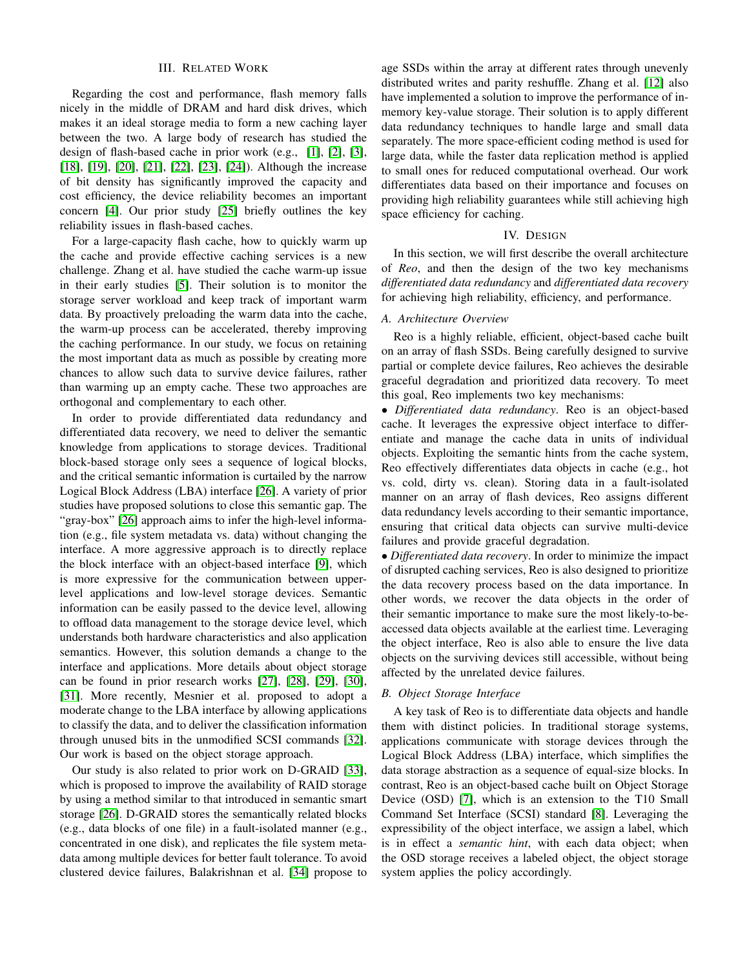## III. RELATED WORK

<span id="page-3-0"></span>Regarding the cost and performance, flash memory falls nicely in the middle of DRAM and hard disk drives, which makes it an ideal storage media to form a new caching layer between the two. A large body of research has studied the design of flash-based cache in prior work (e.g., [\[1\]](#page-9-0), [\[2\]](#page-9-1), [\[3\]](#page-9-2), [\[18\]](#page-10-14), [\[19\]](#page-10-15), [\[20\]](#page-10-16), [\[21\]](#page-10-17), [\[22\]](#page-10-18), [\[23\]](#page-10-19), [\[24\]](#page-10-20)). Although the increase of bit density has significantly improved the capacity and cost efficiency, the device reliability becomes an important concern [\[4\]](#page-10-0). Our prior study [\[25\]](#page-10-21) briefly outlines the key reliability issues in flash-based caches.

For a large-capacity flash cache, how to quickly warm up the cache and provide effective caching services is a new challenge. Zhang et al. have studied the cache warm-up issue in their early studies [\[5\]](#page-10-1). Their solution is to monitor the storage server workload and keep track of important warm data. By proactively preloading the warm data into the cache, the warm-up process can be accelerated, thereby improving the caching performance. In our study, we focus on retaining the most important data as much as possible by creating more chances to allow such data to survive device failures, rather than warming up an empty cache. These two approaches are orthogonal and complementary to each other.

In order to provide differentiated data redundancy and differentiated data recovery, we need to deliver the semantic knowledge from applications to storage devices. Traditional block-based storage only sees a sequence of logical blocks, and the critical semantic information is curtailed by the narrow Logical Block Address (LBA) interface [\[26\]](#page-10-22). A variety of prior studies have proposed solutions to close this semantic gap. The "gray-box" [\[26\]](#page-10-22) approach aims to infer the high-level information (e.g., file system metadata vs. data) without changing the interface. A more aggressive approach is to directly replace the block interface with an object-based interface [\[9\]](#page-10-5), which is more expressive for the communication between upperlevel applications and low-level storage devices. Semantic information can be easily passed to the device level, allowing to offload data management to the storage device level, which understands both hardware characteristics and also application semantics. However, this solution demands a change to the interface and applications. More details about object storage can be found in prior research works [\[27\]](#page-10-23), [\[28\]](#page-10-24), [\[29\]](#page-10-25), [\[30\]](#page-10-26), [\[31\]](#page-10-27). More recently, Mesnier et al. proposed to adopt a moderate change to the LBA interface by allowing applications to classify the data, and to deliver the classification information through unused bits in the unmodified SCSI commands [\[32\]](#page-10-28). Our work is based on the object storage approach.

Our study is also related to prior work on D-GRAID [\[33\]](#page-10-29), which is proposed to improve the availability of RAID storage by using a method similar to that introduced in semantic smart storage [\[26\]](#page-10-22). D-GRAID stores the semantically related blocks (e.g., data blocks of one file) in a fault-isolated manner (e.g., concentrated in one disk), and replicates the file system metadata among multiple devices for better fault tolerance. To avoid clustered device failures, Balakrishnan et al. [\[34\]](#page-10-30) propose to

age SSDs within the array at different rates through unevenly distributed writes and parity reshuffle. Zhang et al. [\[12\]](#page-10-8) also have implemented a solution to improve the performance of inmemory key-value storage. Their solution is to apply different data redundancy techniques to handle large and small data separately. The more space-efficient coding method is used for large data, while the faster data replication method is applied to small ones for reduced computational overhead. Our work differentiates data based on their importance and focuses on providing high reliability guarantees while still achieving high space efficiency for caching.

## IV. DESIGN

<span id="page-3-1"></span>In this section, we will first describe the overall architecture of *Reo*, and then the design of the two key mechanisms *differentiated data redundancy* and *differentiated data recovery* for achieving high reliability, efficiency, and performance.

#### *A. Architecture Overview*

Reo is a highly reliable, efficient, object-based cache built on an array of flash SSDs. Being carefully designed to survive partial or complete device failures, Reo achieves the desirable graceful degradation and prioritized data recovery. To meet this goal, Reo implements two key mechanisms:

• *Differentiated data redundancy*. Reo is an object-based cache. It leverages the expressive object interface to differentiate and manage the cache data in units of individual objects. Exploiting the semantic hints from the cache system, Reo effectively differentiates data objects in cache (e.g., hot vs. cold, dirty vs. clean). Storing data in a fault-isolated manner on an array of flash devices, Reo assigns different data redundancy levels according to their semantic importance, ensuring that critical data objects can survive multi-device failures and provide graceful degradation.

• *Differentiated data recovery*. In order to minimize the impact of disrupted caching services, Reo is also designed to prioritize the data recovery process based on the data importance. In other words, we recover the data objects in the order of their semantic importance to make sure the most likely-to-beaccessed data objects available at the earliest time. Leveraging the object interface, Reo is also able to ensure the live data objects on the surviving devices still accessible, without being affected by the unrelated device failures.

#### *B. Object Storage Interface*

A key task of Reo is to differentiate data objects and handle them with distinct policies. In traditional storage systems, applications communicate with storage devices through the Logical Block Address (LBA) interface, which simplifies the data storage abstraction as a sequence of equal-size blocks. In contrast, Reo is an object-based cache built on Object Storage Device (OSD) [\[7\]](#page-10-3), which is an extension to the T10 Small Command Set Interface (SCSI) standard [\[8\]](#page-10-4). Leveraging the expressibility of the object interface, we assign a label, which is in effect a *semantic hint*, with each data object; when the OSD storage receives a labeled object, the object storage system applies the policy accordingly.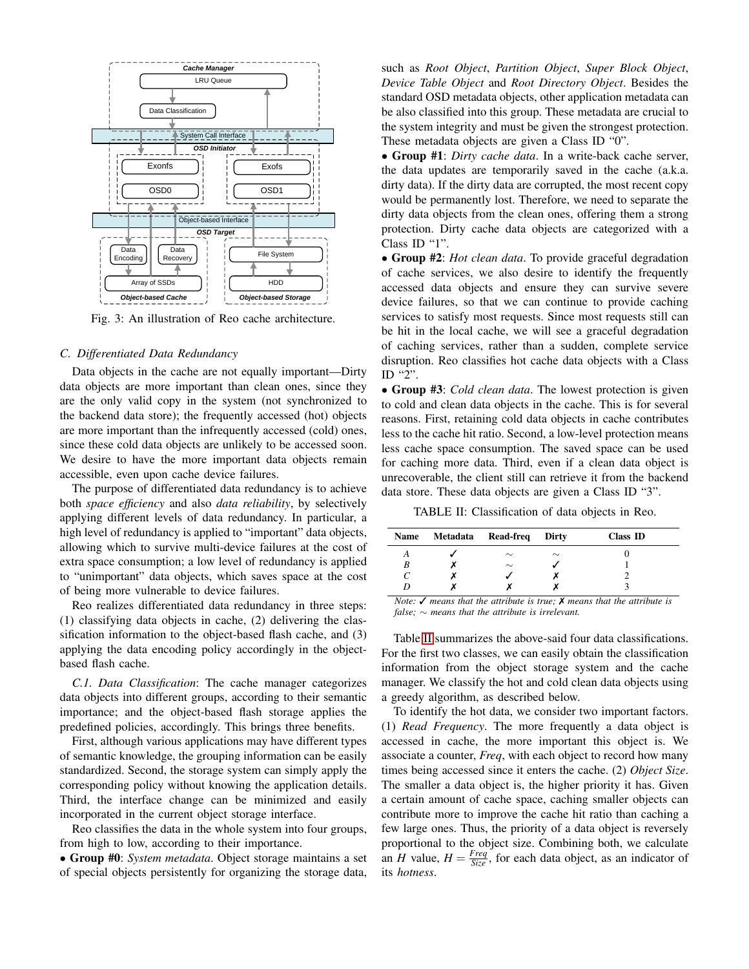

Fig. 3: An illustration of Reo cache architecture.

#### *C. Differentiated Data Redundancy*

Data objects in the cache are not equally important—Dirty data objects are more important than clean ones, since they are the only valid copy in the system (not synchronized to the backend data store); the frequently accessed (hot) objects are more important than the infrequently accessed (cold) ones, since these cold data objects are unlikely to be accessed soon. We desire to have the more important data objects remain accessible, even upon cache device failures.

The purpose of differentiated data redundancy is to achieve both *space efficiency* and also *data reliability*, by selectively applying different levels of data redundancy. In particular, a high level of redundancy is applied to "important" data objects, allowing which to survive multi-device failures at the cost of extra space consumption; a low level of redundancy is applied to "unimportant" data objects, which saves space at the cost of being more vulnerable to device failures.

Reo realizes differentiated data redundancy in three steps: (1) classifying data objects in cache, (2) delivering the classification information to the object-based flash cache, and (3) applying the data encoding policy accordingly in the objectbased flash cache.

*C.1. Data Classification*: The cache manager categorizes data objects into different groups, according to their semantic importance; and the object-based flash storage applies the predefined policies, accordingly. This brings three benefits.

First, although various applications may have different types of semantic knowledge, the grouping information can be easily standardized. Second, the storage system can simply apply the corresponding policy without knowing the application details. Third, the interface change can be minimized and easily incorporated in the current object storage interface.

Reo classifies the data in the whole system into four groups, from high to low, according to their importance.

• Group #0: *System metadata*. Object storage maintains a set of special objects persistently for organizing the storage data, such as *Root Object*, *Partition Object*, *Super Block Object*, *Device Table Object* and *Root Directory Object*. Besides the standard OSD metadata objects, other application metadata can be also classified into this group. These metadata are crucial to the system integrity and must be given the strongest protection. These metadata objects are given a Class ID "0".

• Group #1: *Dirty cache data*. In a write-back cache server, the data updates are temporarily saved in the cache (a.k.a. dirty data). If the dirty data are corrupted, the most recent copy would be permanently lost. Therefore, we need to separate the dirty data objects from the clean ones, offering them a strong protection. Dirty cache data objects are categorized with a Class ID "1".

• Group #2: *Hot clean data*. To provide graceful degradation of cache services, we also desire to identify the frequently accessed data objects and ensure they can survive severe device failures, so that we can continue to provide caching services to satisfy most requests. Since most requests still can be hit in the local cache, we will see a graceful degradation of caching services, rather than a sudden, complete service disruption. Reo classifies hot cache data objects with a Class ID "2".

• Group #3: *Cold clean data*. The lowest protection is given to cold and clean data objects in the cache. This is for several reasons. First, retaining cold data objects in cache contributes less to the cache hit ratio. Second, a low-level protection means less cache space consumption. The saved space can be used for caching more data. Third, even if a clean data object is unrecoverable, the client still can retrieve it from the backend data store. These data objects are given a Class ID "3".

TABLE II: Classification of data objects in Reo.

<span id="page-4-0"></span>

| <b>Name</b> | Metadata Read-freq |        | <b>Dirty</b> | Class ID |
|-------------|--------------------|--------|--------------|----------|
|             |                    | $\sim$ | $\sim$       |          |
|             |                    | $\sim$ |              |          |
|             |                    |        |              |          |
|             |                    |        |              |          |

*Note:* ✓ *means that the attribute is true;* ✗ *means that the attribute is false;* ∼ *means that the attribute is irrelevant.*

Table [II](#page-4-0) summarizes the above-said four data classifications. For the first two classes, we can easily obtain the classification information from the object storage system and the cache manager. We classify the hot and cold clean data objects using a greedy algorithm, as described below.

To identify the hot data, we consider two important factors. (1) *Read Frequency*. The more frequently a data object is accessed in cache, the more important this object is. We associate a counter, *Freq*, with each object to record how many times being accessed since it enters the cache. (2) *Object Size*. The smaller a data object is, the higher priority it has. Given a certain amount of cache space, caching smaller objects can contribute more to improve the cache hit ratio than caching a few large ones. Thus, the priority of a data object is reversely proportional to the object size. Combining both, we calculate an *H* value,  $H = \frac{Freq}{Size}$ , for each data object, as an indicator of its *hotness*.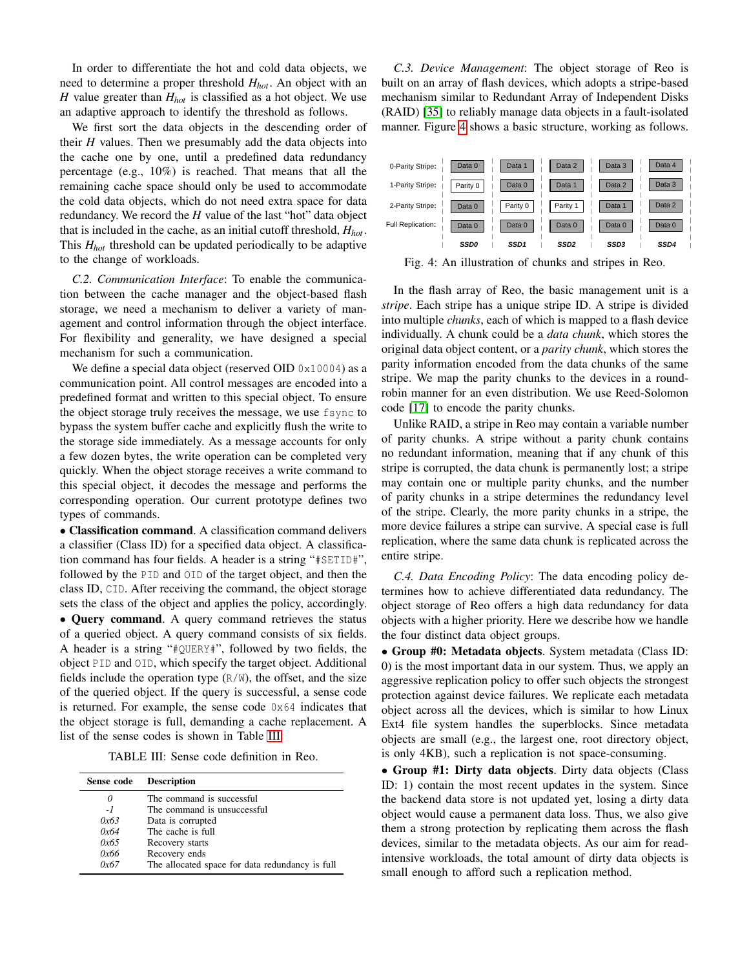In order to differentiate the hot and cold data objects, we need to determine a proper threshold *Hhot*. An object with an *H* value greater than *Hhot* is classified as a hot object. We use an adaptive approach to identify the threshold as follows.

We first sort the data objects in the descending order of their *H* values. Then we presumably add the data objects into the cache one by one, until a predefined data redundancy percentage (e.g., 10%) is reached. That means that all the remaining cache space should only be used to accommodate the cold data objects, which do not need extra space for data redundancy. We record the *H* value of the last "hot" data object that is included in the cache, as an initial cutoff threshold, *Hhot*. This *Hhot* threshold can be updated periodically to be adaptive to the change of workloads.

*C.2. Communication Interface*: To enable the communication between the cache manager and the object-based flash storage, we need a mechanism to deliver a variety of management and control information through the object interface. For flexibility and generality, we have designed a special mechanism for such a communication.

We define a special data object (reserved OID 0x10004) as a communication point. All control messages are encoded into a predefined format and written to this special object. To ensure the object storage truly receives the message, we use fsync to bypass the system buffer cache and explicitly flush the write to the storage side immediately. As a message accounts for only a few dozen bytes, the write operation can be completed very quickly. When the object storage receives a write command to this special object, it decodes the message and performs the corresponding operation. Our current prototype defines two types of commands.

• Classification command. A classification command delivers a classifier (Class ID) for a specified data object. A classification command has four fields. A header is a string "#SETID#", followed by the PID and OID of the target object, and then the class ID, CID. After receiving the command, the object storage sets the class of the object and applies the policy, accordingly. • Query command. A query command retrieves the status of a queried object. A query command consists of six fields. A header is a string "#QUERY#", followed by two fields, the object PID and OID, which specify the target object. Additional fields include the operation type  $(R/W)$ , the offset, and the size of the queried object. If the query is successful, a sense code is returned. For example, the sense code 0x64 indicates that the object storage is full, demanding a cache replacement. A list of the sense codes is shown in Table [III.](#page-5-0)

TABLE III: Sense code definition in Reo.

<span id="page-5-0"></span>

| Sense code | <b>Description</b>                              |
|------------|-------------------------------------------------|
| 0          | The command is successful.                      |
| $-I$       | The command is unsuccessful                     |
| 0x63       | Data is corrupted                               |
| 0x64       | The cache is full                               |
| 0x65       | Recovery starts                                 |
| 0x66       | Recovery ends                                   |
| 0x67       | The allocated space for data redundancy is full |

*C.3. Device Management*: The object storage of Reo is built on an array of flash devices, which adopts a stripe-based mechanism similar to Redundant Array of Independent Disks (RAID) [\[35\]](#page-10-31) to reliably manage data objects in a fault-isolated manner. Figure [4](#page-5-1) shows a basic structure, working as follows.

<span id="page-5-1"></span>

Fig. 4: An illustration of chunks and stripes in Reo.

In the flash array of Reo, the basic management unit is a *stripe*. Each stripe has a unique stripe ID. A stripe is divided into multiple *chunks*, each of which is mapped to a flash device individually. A chunk could be a *data chunk*, which stores the original data object content, or a *parity chunk*, which stores the parity information encoded from the data chunks of the same stripe. We map the parity chunks to the devices in a roundrobin manner for an even distribution. We use Reed-Solomon code [\[17\]](#page-10-13) to encode the parity chunks.

Unlike RAID, a stripe in Reo may contain a variable number of parity chunks. A stripe without a parity chunk contains no redundant information, meaning that if any chunk of this stripe is corrupted, the data chunk is permanently lost; a stripe may contain one or multiple parity chunks, and the number of parity chunks in a stripe determines the redundancy level of the stripe. Clearly, the more parity chunks in a stripe, the more device failures a stripe can survive. A special case is full replication, where the same data chunk is replicated across the entire stripe.

*C.4. Data Encoding Policy*: The data encoding policy determines how to achieve differentiated data redundancy. The object storage of Reo offers a high data redundancy for data objects with a higher priority. Here we describe how we handle the four distinct data object groups.

• Group #0: Metadata objects. System metadata (Class ID: 0) is the most important data in our system. Thus, we apply an aggressive replication policy to offer such objects the strongest protection against device failures. We replicate each metadata object across all the devices, which is similar to how Linux Ext4 file system handles the superblocks. Since metadata objects are small (e.g., the largest one, root directory object, is only 4KB), such a replication is not space-consuming.

• Group #1: Dirty data objects. Dirty data objects (Class ID: 1) contain the most recent updates in the system. Since the backend data store is not updated yet, losing a dirty data object would cause a permanent data loss. Thus, we also give them a strong protection by replicating them across the flash devices, similar to the metadata objects. As our aim for readintensive workloads, the total amount of dirty data objects is small enough to afford such a replication method.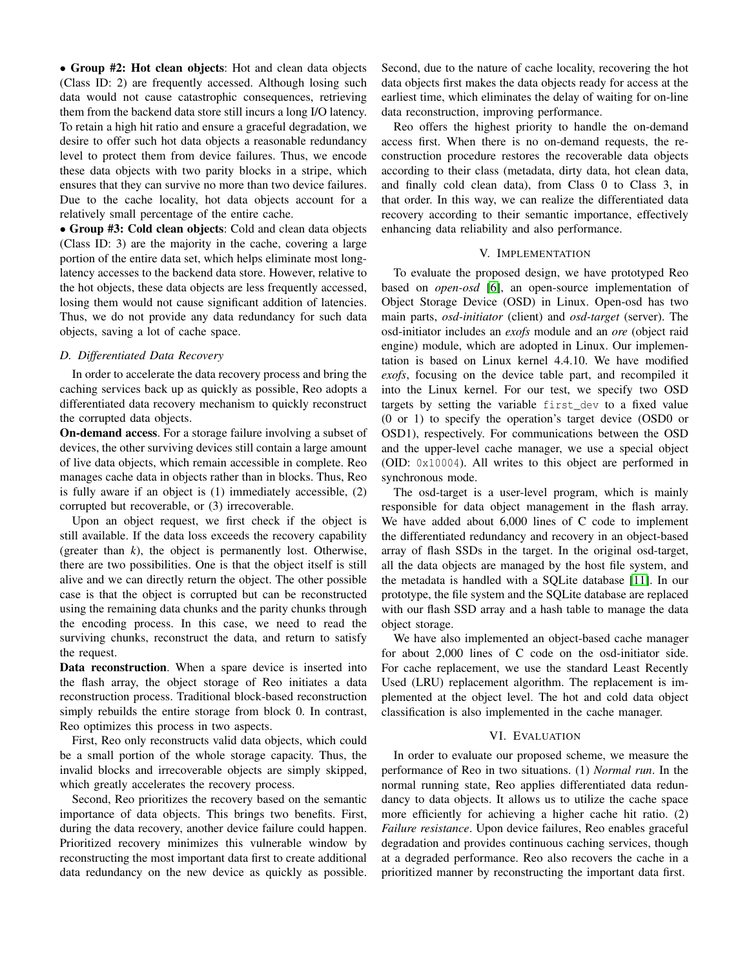• Group #2: Hot clean objects: Hot and clean data objects (Class ID: 2) are frequently accessed. Although losing such data would not cause catastrophic consequences, retrieving them from the backend data store still incurs a long I/O latency. To retain a high hit ratio and ensure a graceful degradation, we desire to offer such hot data objects a reasonable redundancy level to protect them from device failures. Thus, we encode these data objects with two parity blocks in a stripe, which ensures that they can survive no more than two device failures. Due to the cache locality, hot data objects account for a relatively small percentage of the entire cache.

• Group #3: Cold clean objects: Cold and clean data objects (Class ID: 3) are the majority in the cache, covering a large portion of the entire data set, which helps eliminate most longlatency accesses to the backend data store. However, relative to the hot objects, these data objects are less frequently accessed, losing them would not cause significant addition of latencies. Thus, we do not provide any data redundancy for such data objects, saving a lot of cache space.

## *D. Differentiated Data Recovery*

In order to accelerate the data recovery process and bring the caching services back up as quickly as possible, Reo adopts a differentiated data recovery mechanism to quickly reconstruct the corrupted data objects.

On-demand access. For a storage failure involving a subset of devices, the other surviving devices still contain a large amount of live data objects, which remain accessible in complete. Reo manages cache data in objects rather than in blocks. Thus, Reo is fully aware if an object is (1) immediately accessible, (2) corrupted but recoverable, or (3) irrecoverable.

Upon an object request, we first check if the object is still available. If the data loss exceeds the recovery capability (greater than *k*), the object is permanently lost. Otherwise, there are two possibilities. One is that the object itself is still alive and we can directly return the object. The other possible case is that the object is corrupted but can be reconstructed using the remaining data chunks and the parity chunks through the encoding process. In this case, we need to read the surviving chunks, reconstruct the data, and return to satisfy the request.

Data reconstruction. When a spare device is inserted into the flash array, the object storage of Reo initiates a data reconstruction process. Traditional block-based reconstruction simply rebuilds the entire storage from block 0. In contrast, Reo optimizes this process in two aspects.

First, Reo only reconstructs valid data objects, which could be a small portion of the whole storage capacity. Thus, the invalid blocks and irrecoverable objects are simply skipped, which greatly accelerates the recovery process.

Second, Reo prioritizes the recovery based on the semantic importance of data objects. This brings two benefits. First, during the data recovery, another device failure could happen. Prioritized recovery minimizes this vulnerable window by reconstructing the most important data first to create additional data redundancy on the new device as quickly as possible. Second, due to the nature of cache locality, recovering the hot data objects first makes the data objects ready for access at the earliest time, which eliminates the delay of waiting for on-line data reconstruction, improving performance.

Reo offers the highest priority to handle the on-demand access first. When there is no on-demand requests, the reconstruction procedure restores the recoverable data objects according to their class (metadata, dirty data, hot clean data, and finally cold clean data), from Class 0 to Class 3, in that order. In this way, we can realize the differentiated data recovery according to their semantic importance, effectively enhancing data reliability and also performance.

## V. IMPLEMENTATION

<span id="page-6-0"></span>To evaluate the proposed design, we have prototyped Reo based on *open-osd* [\[6\]](#page-10-2), an open-source implementation of Object Storage Device (OSD) in Linux. Open-osd has two main parts, *osd-initiator* (client) and *osd-target* (server). The osd-initiator includes an *exofs* module and an *ore* (object raid engine) module, which are adopted in Linux. Our implementation is based on Linux kernel 4.4.10. We have modified *exofs*, focusing on the device table part, and recompiled it into the Linux kernel. For our test, we specify two OSD targets by setting the variable first\_dev to a fixed value (0 or 1) to specify the operation's target device (OSD0 or OSD1), respectively. For communications between the OSD and the upper-level cache manager, we use a special object (OID: 0x10004). All writes to this object are performed in synchronous mode.

The osd-target is a user-level program, which is mainly responsible for data object management in the flash array. We have added about 6,000 lines of C code to implement the differentiated redundancy and recovery in an object-based array of flash SSDs in the target. In the original osd-target, all the data objects are managed by the host file system, and the metadata is handled with a SQLite database [\[11\]](#page-10-7). In our prototype, the file system and the SQLite database are replaced with our flash SSD array and a hash table to manage the data object storage.

We have also implemented an object-based cache manager for about 2,000 lines of C code on the osd-initiator side. For cache replacement, we use the standard Least Recently Used (LRU) replacement algorithm. The replacement is implemented at the object level. The hot and cold data object classification is also implemented in the cache manager.

## VI. EVALUATION

<span id="page-6-1"></span>In order to evaluate our proposed scheme, we measure the performance of Reo in two situations. (1) *Normal run*. In the normal running state, Reo applies differentiated data redundancy to data objects. It allows us to utilize the cache space more efficiently for achieving a higher cache hit ratio. (2) *Failure resistance*. Upon device failures, Reo enables graceful degradation and provides continuous caching services, though at a degraded performance. Reo also recovers the cache in a prioritized manner by reconstructing the important data first.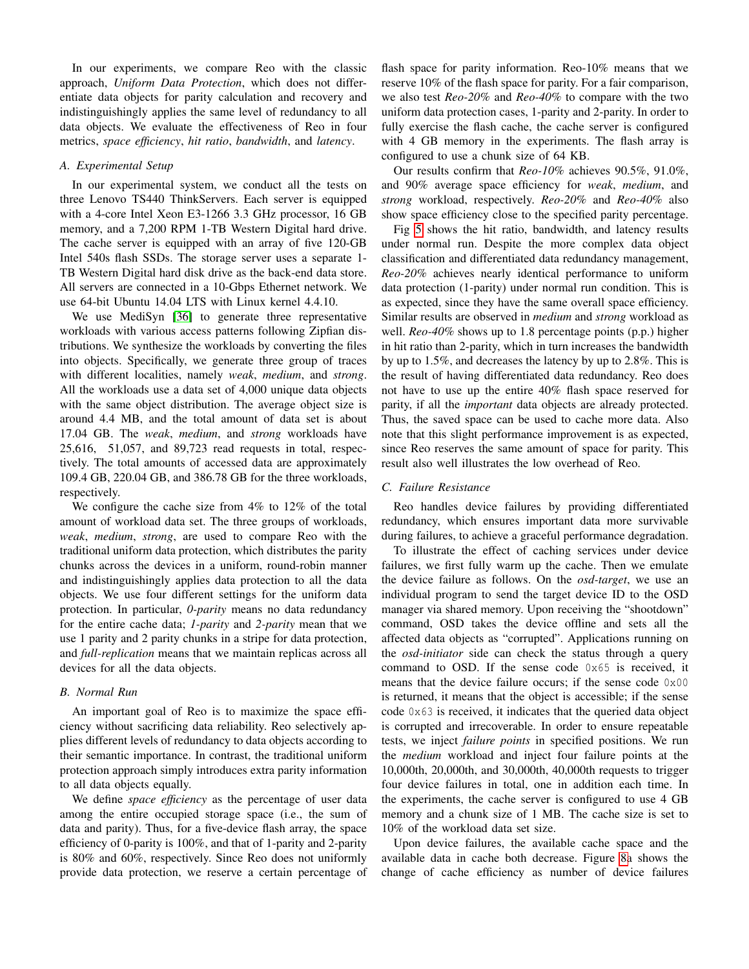In our experiments, we compare Reo with the classic approach, *Uniform Data Protection*, which does not differentiate data objects for parity calculation and recovery and indistinguishingly applies the same level of redundancy to all data objects. We evaluate the effectiveness of Reo in four metrics, *space efficiency*, *hit ratio*, *bandwidth*, and *latency*.

## *A. Experimental Setup*

In our experimental system, we conduct all the tests on three Lenovo TS440 ThinkServers. Each server is equipped with a 4-core Intel Xeon E3-1266 3.3 GHz processor, 16 GB memory, and a 7,200 RPM 1-TB Western Digital hard drive. The cache server is equipped with an array of five 120-GB Intel 540s flash SSDs. The storage server uses a separate 1- TB Western Digital hard disk drive as the back-end data store. All servers are connected in a 10-Gbps Ethernet network. We use 64-bit Ubuntu 14.04 LTS with Linux kernel 4.4.10.

We use MediSyn [\[36\]](#page-10-32) to generate three representative workloads with various access patterns following Zipfian distributions. We synthesize the workloads by converting the files into objects. Specifically, we generate three group of traces with different localities, namely *weak*, *medium*, and *strong*. All the workloads use a data set of 4,000 unique data objects with the same object distribution. The average object size is around 4.4 MB, and the total amount of data set is about 17.04 GB. The *weak*, *medium*, and *strong* workloads have 25,616, 51,057, and 89,723 read requests in total, respectively. The total amounts of accessed data are approximately 109.4 GB, 220.04 GB, and 386.78 GB for the three workloads, respectively.

We configure the cache size from 4% to 12% of the total amount of workload data set. The three groups of workloads, *weak*, *medium*, *strong*, are used to compare Reo with the traditional uniform data protection, which distributes the parity chunks across the devices in a uniform, round-robin manner and indistinguishingly applies data protection to all the data objects. We use four different settings for the uniform data protection. In particular, *0-parity* means no data redundancy for the entire cache data; *1-parity* and *2-parity* mean that we use 1 parity and 2 parity chunks in a stripe for data protection, and *full-replication* means that we maintain replicas across all devices for all the data objects.

## *B. Normal Run*

An important goal of Reo is to maximize the space efficiency without sacrificing data reliability. Reo selectively applies different levels of redundancy to data objects according to their semantic importance. In contrast, the traditional uniform protection approach simply introduces extra parity information to all data objects equally.

We define *space efficiency* as the percentage of user data among the entire occupied storage space (i.e., the sum of data and parity). Thus, for a five-device flash array, the space efficiency of 0-parity is 100%, and that of 1-parity and 2-parity is 80% and 60%, respectively. Since Reo does not uniformly provide data protection, we reserve a certain percentage of flash space for parity information. Reo-10% means that we reserve 10% of the flash space for parity. For a fair comparison, we also test *Reo-20%* and *Reo-40%* to compare with the two uniform data protection cases, 1-parity and 2-parity. In order to fully exercise the flash cache, the cache server is configured with 4 GB memory in the experiments. The flash array is configured to use a chunk size of 64 KB.

Our results confirm that *Reo-10%* achieves 90.5%, 91.0%, and 90% average space efficiency for *weak*, *medium*, and *strong* workload, respectively. *Reo-20%* and *Reo-40%* also show space efficiency close to the specified parity percentage.

Fig [5](#page-8-0) shows the hit ratio, bandwidth, and latency results under normal run. Despite the more complex data object classification and differentiated data redundancy management, *Reo-20%* achieves nearly identical performance to uniform data protection (1-parity) under normal run condition. This is as expected, since they have the same overall space efficiency. Similar results are observed in *medium* and *strong* workload as well. *Reo-40%* shows up to 1.8 percentage points (p.p.) higher in hit ratio than 2-parity, which in turn increases the bandwidth by up to 1.5%, and decreases the latency by up to 2.8%. This is the result of having differentiated data redundancy. Reo does not have to use up the entire 40% flash space reserved for parity, if all the *important* data objects are already protected. Thus, the saved space can be used to cache more data. Also note that this slight performance improvement is as expected, since Reo reserves the same amount of space for parity. This result also well illustrates the low overhead of Reo.

## *C. Failure Resistance*

Reo handles device failures by providing differentiated redundancy, which ensures important data more survivable during failures, to achieve a graceful performance degradation.

To illustrate the effect of caching services under device failures, we first fully warm up the cache. Then we emulate the device failure as follows. On the *osd-target*, we use an individual program to send the target device ID to the OSD manager via shared memory. Upon receiving the "shootdown" command, OSD takes the device offline and sets all the affected data objects as "corrupted". Applications running on the *osd-initiator* side can check the status through a query command to OSD. If the sense code 0x65 is received, it means that the device failure occurs; if the sense code 0x00 is returned, it means that the object is accessible; if the sense code 0x63 is received, it indicates that the queried data object is corrupted and irrecoverable. In order to ensure repeatable tests, we inject *failure points* in specified positions. We run the *medium* workload and inject four failure points at the 10,000th, 20,000th, and 30,000th, 40,000th requests to trigger four device failures in total, one in addition each time. In the experiments, the cache server is configured to use 4 GB memory and a chunk size of 1 MB. The cache size is set to 10% of the workload data set size.

Upon device failures, the available cache space and the available data in cache both decrease. Figure [8a](#page-8-1) shows the change of cache efficiency as number of device failures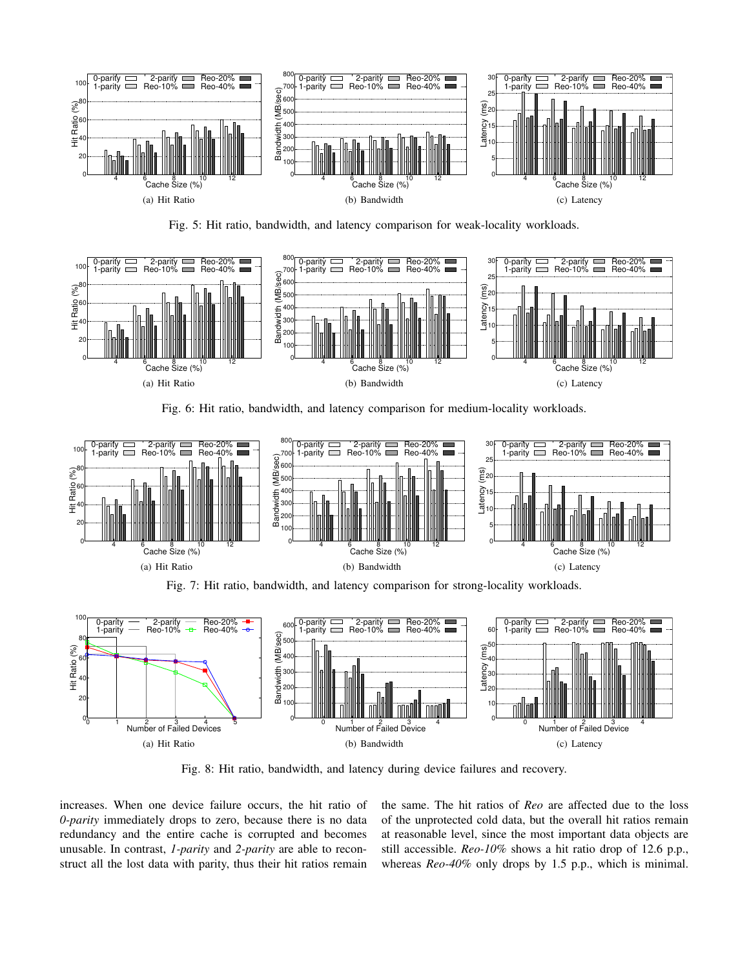<span id="page-8-0"></span>

Fig. 5: Hit ratio, bandwidth, and latency comparison for weak-locality workloads.



Fig. 6: Hit ratio, bandwidth, and latency comparison for medium-locality workloads.



<span id="page-8-1"></span>

Fig. 8: Hit ratio, bandwidth, and latency during device failures and recovery.

increases. When one device failure occurs, the hit ratio of *0-parity* immediately drops to zero, because there is no data redundancy and the entire cache is corrupted and becomes unusable. In contrast, *1-parity* and *2-parity* are able to reconstruct all the lost data with parity, thus their hit ratios remain the same. The hit ratios of *Reo* are affected due to the loss of the unprotected cold data, but the overall hit ratios remain at reasonable level, since the most important data objects are still accessible. *Reo-10%* shows a hit ratio drop of 12.6 p.p., whereas *Reo-40%* only drops by 1.5 p.p., which is minimal.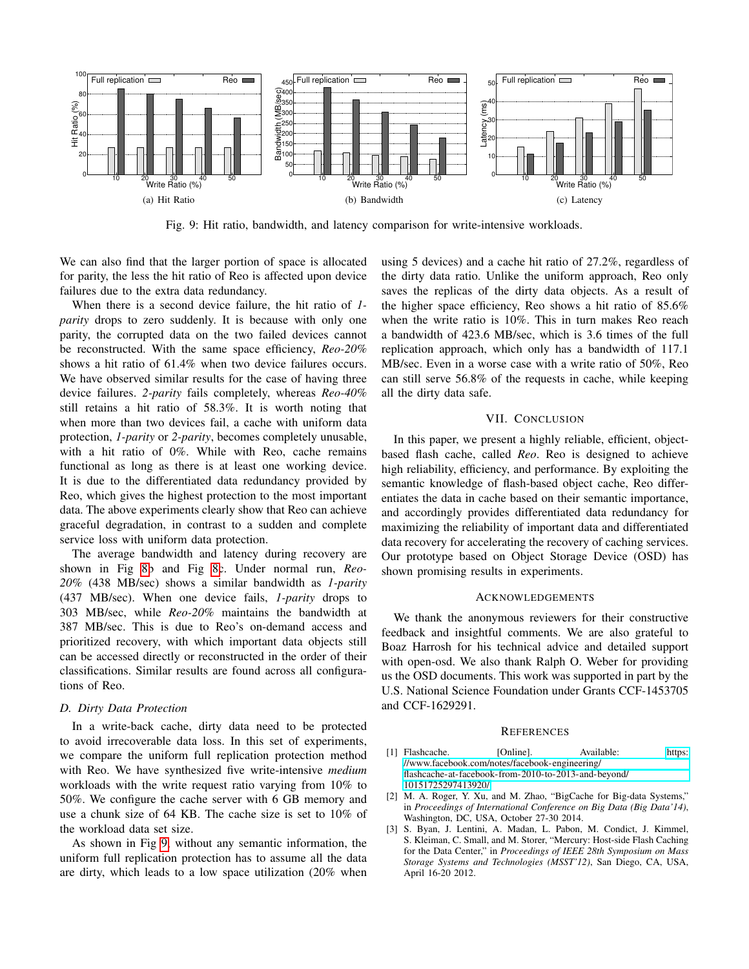<span id="page-9-3"></span>

Fig. 9: Hit ratio, bandwidth, and latency comparison for write-intensive workloads.

We can also find that the larger portion of space is allocated for parity, the less the hit ratio of Reo is affected upon device failures due to the extra data redundancy.

When there is a second device failure, the hit ratio of *1 parity* drops to zero suddenly. It is because with only one parity, the corrupted data on the two failed devices cannot be reconstructed. With the same space efficiency, *Reo-20%* shows a hit ratio of 61.4% when two device failures occurs. We have observed similar results for the case of having three device failures. *2-parity* fails completely, whereas *Reo-40%* still retains a hit ratio of 58.3%. It is worth noting that when more than two devices fail, a cache with uniform data protection, *1-parity* or *2-parity*, becomes completely unusable, with a hit ratio of 0%. While with Reo, cache remains functional as long as there is at least one working device. It is due to the differentiated data redundancy provided by Reo, which gives the highest protection to the most important data. The above experiments clearly show that Reo can achieve graceful degradation, in contrast to a sudden and complete service loss with uniform data protection.

The average bandwidth and latency during recovery are shown in Fig [8b](#page-8-1) and Fig [8c](#page-8-1). Under normal run, *Reo-20%* (438 MB/sec) shows a similar bandwidth as *1-parity* (437 MB/sec). When one device fails, *1-parity* drops to 303 MB/sec, while *Reo-20%* maintains the bandwidth at 387 MB/sec. This is due to Reo's on-demand access and prioritized recovery, with which important data objects still can be accessed directly or reconstructed in the order of their classifications. Similar results are found across all configurations of Reo.

## *D. Dirty Data Protection*

In a write-back cache, dirty data need to be protected to avoid irrecoverable data loss. In this set of experiments, we compare the uniform full replication protection method with Reo. We have synthesized five write-intensive *medium* workloads with the write request ratio varying from 10% to 50%. We configure the cache server with 6 GB memory and use a chunk size of 64 KB. The cache size is set to 10% of the workload data set size.

As shown in Fig [9,](#page-9-3) without any semantic information, the uniform full replication protection has to assume all the data are dirty, which leads to a low space utilization (20% when using 5 devices) and a cache hit ratio of 27.2%, regardless of the dirty data ratio. Unlike the uniform approach, Reo only saves the replicas of the dirty data objects. As a result of the higher space efficiency, Reo shows a hit ratio of 85.6% when the write ratio is 10%. This in turn makes Reo reach a bandwidth of 423.6 MB/sec, which is 3.6 times of the full replication approach, which only has a bandwidth of 117.1 MB/sec. Even in a worse case with a write ratio of 50%, Reo can still serve 56.8% of the requests in cache, while keeping all the dirty data safe.

#### VII. CONCLUSION

In this paper, we present a highly reliable, efficient, objectbased flash cache, called *Reo*. Reo is designed to achieve high reliability, efficiency, and performance. By exploiting the semantic knowledge of flash-based object cache, Reo differentiates the data in cache based on their semantic importance, and accordingly provides differentiated data redundancy for maximizing the reliability of important data and differentiated data recovery for accelerating the recovery of caching services. Our prototype based on Object Storage Device (OSD) has shown promising results in experiments.

#### ACKNOWLEDGEMENTS

We thank the anonymous reviewers for their constructive feedback and insightful comments. We are also grateful to Boaz Harrosh for his technical advice and detailed support with open-osd. We also thank Ralph O. Weber for providing us the OSD documents. This work was supported in part by the U.S. National Science Foundation under Grants CCF-1453705 and CCF-1629291.

#### **REFERENCES**

- <span id="page-9-0"></span>[1] Flashcache. [Online]. Available: [https:](https://www.facebook.com/notes/facebook-engineering/flashcache-at-facebook-from-2010-to-2013-and-beyond/10151725297413920/) [//www.facebook.com/notes/facebook-engineering/](https://www.facebook.com/notes/facebook-engineering/flashcache-at-facebook-from-2010-to-2013-and-beyond/10151725297413920/) [flashcache-at-facebook-from-2010-to-2013-and-beyond/](https://www.facebook.com/notes/facebook-engineering/flashcache-at-facebook-from-2010-to-2013-and-beyond/10151725297413920/) [10151725297413920/](https://www.facebook.com/notes/facebook-engineering/flashcache-at-facebook-from-2010-to-2013-and-beyond/10151725297413920/)
- <span id="page-9-1"></span>[2] M. A. Roger, Y. Xu, and M. Zhao, "BigCache for Big-data Systems," in *Proceedings of International Conference on Big Data (Big Data'14)*, Washington, DC, USA, October 27-30 2014.
- <span id="page-9-2"></span>[3] S. Byan, J. Lentini, A. Madan, L. Pabon, M. Condict, J. Kimmel, S. Kleiman, C. Small, and M. Storer, "Mercury: Host-side Flash Caching for the Data Center," in *Proceedings of IEEE 28th Symposium on Mass Storage Systems and Technologies (MSST'12)*, San Diego, CA, USA, April 16-20 2012.